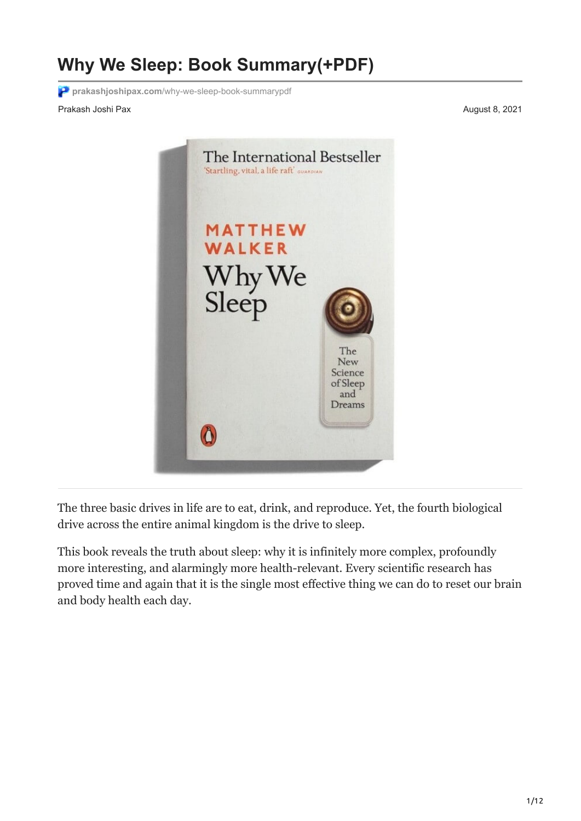# **Why We Sleep: Book Summary(+PDF)**

**prakashjoshipax.com**[/why-we-sleep-book-summarypdf](https://prakashjoshipax.com/why-we-sleep-book-summarypdf/)

Prakash Joshi Pax August 8, 2021



The three basic drives in life are to eat, drink, and reproduce. Yet, the fourth biological drive across the entire animal kingdom is the drive to sleep.

This book reveals the truth about sleep: why it is infinitely more complex, profoundly more interesting, and alarmingly more health-relevant. Every scientific research has proved time and again that it is the single most effective thing we can do to reset our brain and body health each day.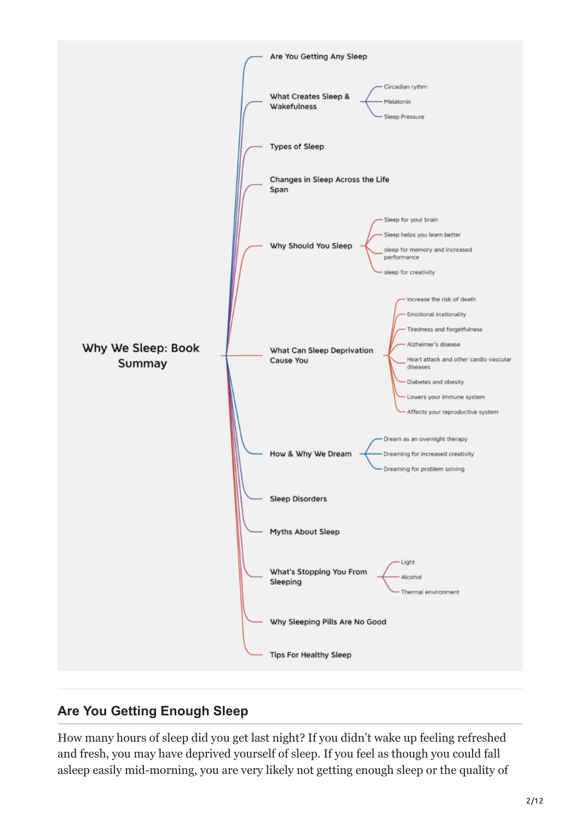

# **Are You Getting Enough Sleep**

How many hours of sleep did you get last night? If you didn't wake up feeling refreshed and fresh, you may have deprived yourself of sleep. If you feel as though you could fall asleep easily mid-morning, you are very likely not getting enough sleep or the quality of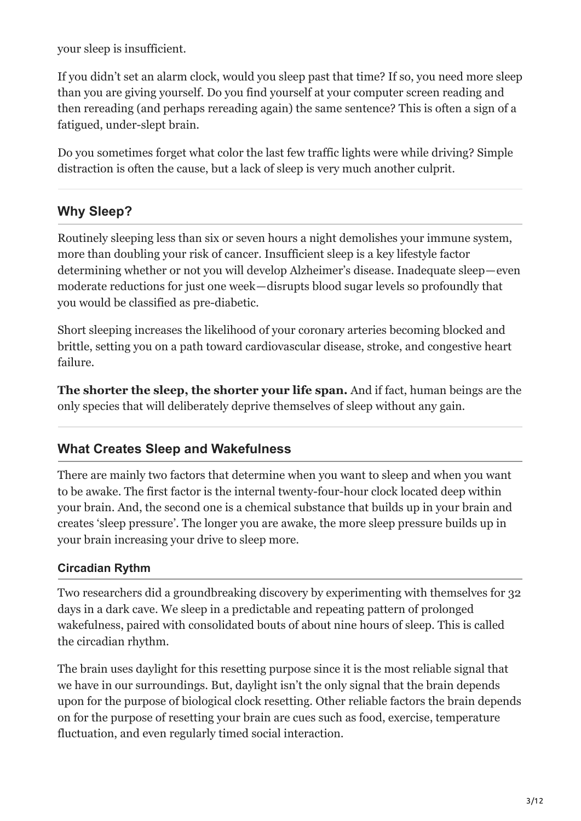your sleep is insufficient.

If you didn't set an alarm clock, would you sleep past that time? If so, you need more sleep than you are giving yourself. Do you find yourself at your computer screen reading and then rereading (and perhaps rereading again) the same sentence? This is often a sign of a fatigued, under-slept brain.

Do you sometimes forget what color the last few traffic lights were while driving? Simple distraction is often the cause, but a lack of sleep is very much another culprit.

# **Why Sleep?**

Routinely sleeping less than six or seven hours a night demolishes your immune system, more than doubling your risk of cancer. Insufficient sleep is a key lifestyle factor determining whether or not you will develop Alzheimer's disease. Inadequate sleep — even moderate reductions for just one week — disrupts blood sugar levels so profoundly that you would be classified as pre-diabetic.

Short sleeping increases the likelihood of your coronary arteries becoming blocked and brittle, setting you on a path toward cardiovascular disease, stroke, and congestive heart failure.

**The shorter the sleep, the shorter your life span.** And if fact, human beings are the only species that will deliberately deprive themselves of sleep without any gain.

## **What Creates Sleep and Wakefulness**

There are mainly two factors that determine when you want to sleep and when you want to be awake. The first factor is the internal twenty-four-hour clock located deep within your brain. And, the second one is a chemical substance that builds up in your brain and creates 'sleep pressure'. The longer you are awake, the more sleep pressure builds up in your brain increasing your drive to sleep more.

#### **Circadian Rythm**

Two researchers did a groundbreaking discovery by experimenting with themselves for 32 days in a dark cave. We sleep in a predictable and repeating pattern of prolonged wakefulness, paired with consolidated bouts of about nine hours of sleep. This is called the circadian rhythm.

The brain uses daylight for this resetting purpose since it is the most reliable signal that we have in our surroundings. But, daylight isn't the only signal that the brain depends upon for the purpose of biological clock resetting. Other reliable factors the brain depends on for the purpose of resetting your brain are cues such as food, exercise, temperature fluctuation, and even regularly timed social interaction.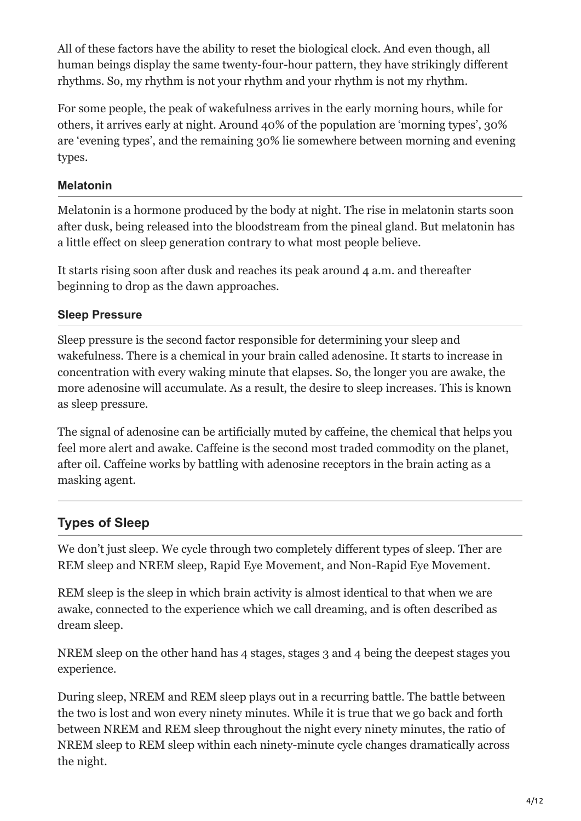All of these factors have the ability to reset the biological clock. And even though, all human beings display the same twenty-four-hour pattern, they have strikingly different rhythms. So, my rhythm is not your rhythm and your rhythm is not my rhythm.

For some people, the peak of wakefulness arrives in the early morning hours, while for others, it arrives early at night. Around 40% of the population are 'morning types', 30% are 'evening types', and the remaining 30% lie somewhere between morning and evening types.

#### **Melatonin**

Melatonin is a hormone produced by the body at night. The rise in melatonin starts soon after dusk, being released into the bloodstream from the pineal gland. But melatonin has a little effect on sleep generation contrary to what most people believe.

It starts rising soon after dusk and reaches its peak around 4 a.m. and thereafter beginning to drop as the dawn approaches.

#### **Sleep Pressure**

Sleep pressure is the second factor responsible for determining your sleep and wakefulness. There is a chemical in your brain called adenosine. It starts to increase in concentration with every waking minute that elapses. So, the longer you are awake, the more adenosine will accumulate. As a result, the desire to sleep increases. This is known as sleep pressure.

The signal of adenosine can be artificially muted by caffeine, the chemical that helps you feel more alert and awake. Caffeine is the second most traded commodity on the planet, after oil. Caffeine works by battling with adenosine receptors in the brain acting as a masking agent.

# **Types of Sleep**

We don't just sleep. We cycle through two completely different types of sleep. Ther are REM sleep and NREM sleep, Rapid Eye Movement, and Non-Rapid Eye Movement.

REM sleep is the sleep in which brain activity is almost identical to that when we are awake, connected to the experience which we call dreaming, and is often described as dream sleep.

NREM sleep on the other hand has 4 stages, stages 3 and 4 being the deepest stages you experience.

During sleep, NREM and REM sleep plays out in a recurring battle. The battle between the two is lost and won every ninety minutes. While it is true that we go back and forth between NREM and REM sleep throughout the night every ninety minutes, the ratio of NREM sleep to REM sleep within each ninety-minute cycle changes dramatically across the night.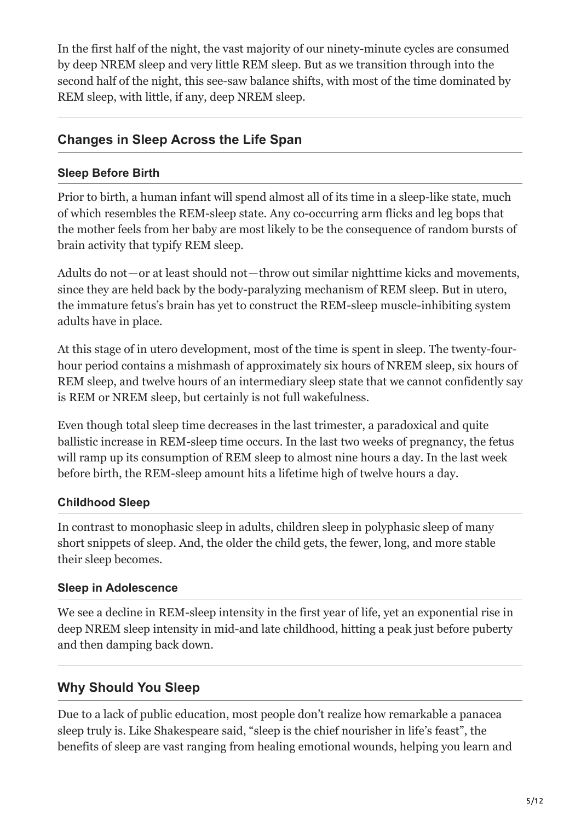In the first half of the night, the vast majority of our ninety-minute cycles are consumed by deep NREM sleep and very little REM sleep. But as we transition through into the second half of the night, this see-saw balance shifts, with most of the time dominated by REM sleep, with little, if any, deep NREM sleep.

## **Changes in Sleep Across the Life Span**

#### **Sleep Before Birth**

Prior to birth, a human infant will spend almost all of its time in a sleep-like state, much of which resembles the REM-sleep state. Any co-occurring arm flicks and leg bops that the mother feels from her baby are most likely to be the consequence of random bursts of brain activity that typify REM sleep.

Adults do not — or at least should not — throw out similar nighttime kicks and movements, since they are held back by the body-paralyzing mechanism of REM sleep. But in utero, the immature fetus's brain has yet to construct the REM-sleep muscle-inhibiting system adults have in place.

At this stage of in utero development, most of the time is spent in sleep. The twenty-fourhour period contains a mishmash of approximately six hours of NREM sleep, six hours of REM sleep, and twelve hours of an intermediary sleep state that we cannot confidently say is REM or NREM sleep, but certainly is not full wakefulness.

Even though total sleep time decreases in the last trimester, a paradoxical and quite ballistic increase in REM-sleep time occurs. In the last two weeks of pregnancy, the fetus will ramp up its consumption of REM sleep to almost nine hours a day. In the last week before birth, the REM-sleep amount hits a lifetime high of twelve hours a day.

## **Childhood Sleep**

In contrast to monophasic sleep in adults, children sleep in polyphasic sleep of many short snippets of sleep. And, the older the child gets, the fewer, long, and more stable their sleep becomes.

#### **Sleep in Adolescence**

We see a decline in REM-sleep intensity in the first year of life, yet an exponential rise in deep NREM sleep intensity in mid-and late childhood, hitting a peak just before puberty and then damping back down.

# **Why Should You Sleep**

Due to a lack of public education, most people don't realize how remarkable a panacea sleep truly is. Like Shakespeare said, "sleep is the chief nourisher in life's feast", the benefits of sleep are vast ranging from healing emotional wounds, helping you learn and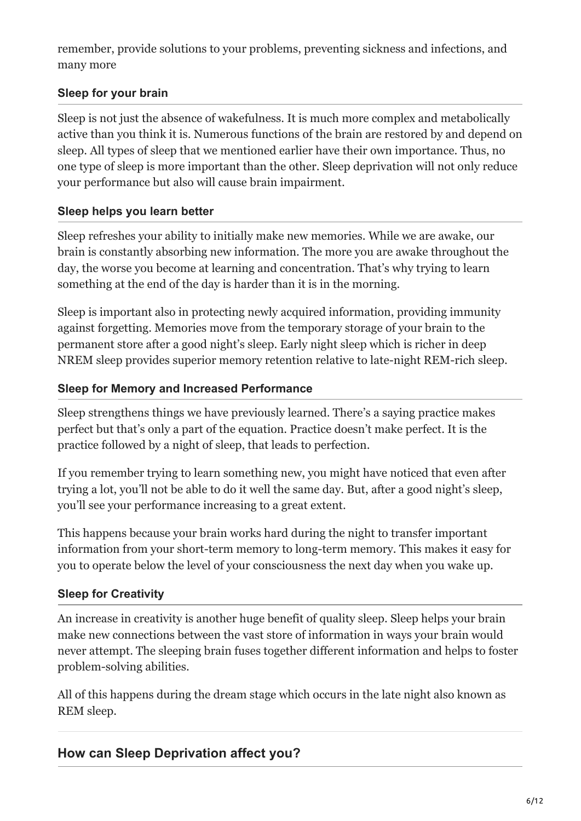remember, provide solutions to your problems, preventing sickness and infections, and many more

## **Sleep for your brain**

Sleep is not just the absence of wakefulness. It is much more complex and metabolically active than you think it is. Numerous functions of the brain are restored by and depend on sleep. All types of sleep that we mentioned earlier have their own importance. Thus, no one type of sleep is more important than the other. Sleep deprivation will not only reduce your performance but also will cause brain impairment.

#### **Sleep helps you learn better**

Sleep refreshes your ability to initially make new memories. While we are awake, our brain is constantly absorbing new information. The more you are awake throughout the day, the worse you become at learning and concentration. That's why trying to learn something at the end of the day is harder than it is in the morning.

Sleep is important also in protecting newly acquired information, providing immunity against forgetting. Memories move from the temporary storage of your brain to the permanent store after a good night's sleep. Early night sleep which is richer in deep NREM sleep provides superior memory retention relative to late-night REM-rich sleep.

#### **Sleep for Memory and Increased Performance**

Sleep strengthens things we have previously learned. There's a saying practice makes perfect but that's only a part of the equation. Practice doesn't make perfect. It is the practice followed by a night of sleep, that leads to perfection.

If you remember trying to learn something new, you might have noticed that even after trying a lot, you'll not be able to do it well the same day. But, after a good night's sleep, you'll see your performance increasing to a great extent.

This happens because your brain works hard during the night to transfer important information from your short-term memory to long-term memory. This makes it easy for you to operate below the level of your consciousness the next day when you wake up.

## **Sleep for Creativity**

An increase in creativity is another huge benefit of quality sleep. Sleep helps your brain make new connections between the vast store of information in ways your brain would never attempt. The sleeping brain fuses together different information and helps to foster problem-solving abilities.

All of this happens during the dream stage which occurs in the late night also known as REM sleep.

## **How can Sleep Deprivation affect you?**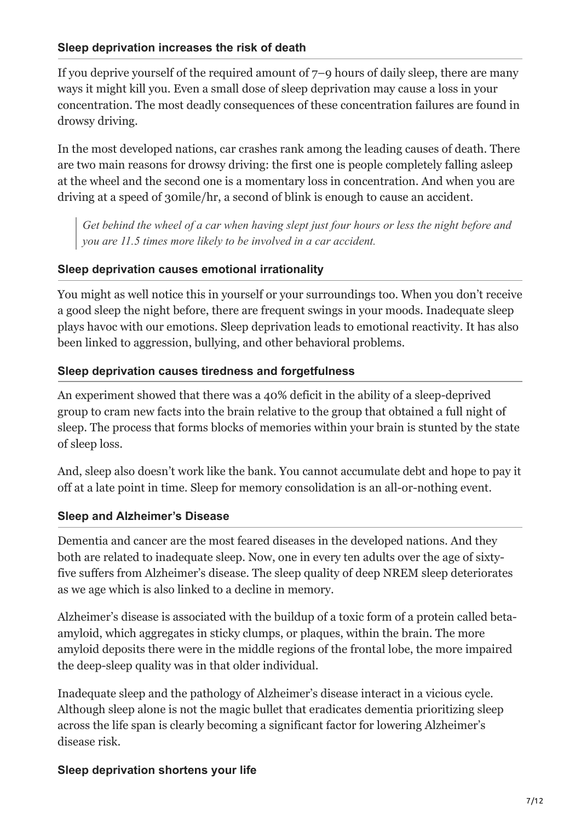If you deprive yourself of the required amount of 7–9 hours of daily sleep, there are many ways it might kill you. Even a small dose of sleep deprivation may cause a loss in your concentration. The most deadly consequences of these concentration failures are found in drowsy driving.

In the most developed nations, car crashes rank among the leading causes of death. There are two main reasons for drowsy driving: the first one is people completely falling asleep at the wheel and the second one is a momentary loss in concentration. And when you are driving at a speed of 30mile/hr, a second of blink is enough to cause an accident.

*Get behind the wheel of a car when having slept just four hours or less the night before and you are 11.5 times more likely to be involved in a car accident.*

## **Sleep deprivation causes emotional irrationality**

You might as well notice this in yourself or your surroundings too. When you don't receive a good sleep the night before, there are frequent swings in your moods. Inadequate sleep plays havoc with our emotions. Sleep deprivation leads to emotional reactivity. It has also been linked to aggression, bullying, and other behavioral problems.

## **Sleep deprivation causes tiredness and forgetfulness**

An experiment showed that there was a 40% deficit in the ability of a sleep-deprived group to cram new facts into the brain relative to the group that obtained a full night of sleep. The process that forms blocks of memories within your brain is stunted by the state of sleep loss.

And, sleep also doesn't work like the bank. You cannot accumulate debt and hope to pay it off at a late point in time. Sleep for memory consolidation is an all-or-nothing event.

# **Sleep and Alzheimer's Disease**

Dementia and cancer are the most feared diseases in the developed nations. And they both are related to inadequate sleep. Now, one in every ten adults over the age of sixtyfive suffers from Alzheimer's disease. The sleep quality of deep NREM sleep deteriorates as we age which is also linked to a decline in memory.

Alzheimer's disease is associated with the buildup of a toxic form of a protein called betaamyloid, which aggregates in sticky clumps, or plaques, within the brain. The more amyloid deposits there were in the middle regions of the frontal lobe, the more impaired the deep-sleep quality was in that older individual.

Inadequate sleep and the pathology of Alzheimer's disease interact in a vicious cycle. Although sleep alone is not the magic bullet that eradicates dementia prioritizing sleep across the life span is clearly becoming a significant factor for lowering Alzheimer's disease risk.

## **Sleep deprivation shortens your life**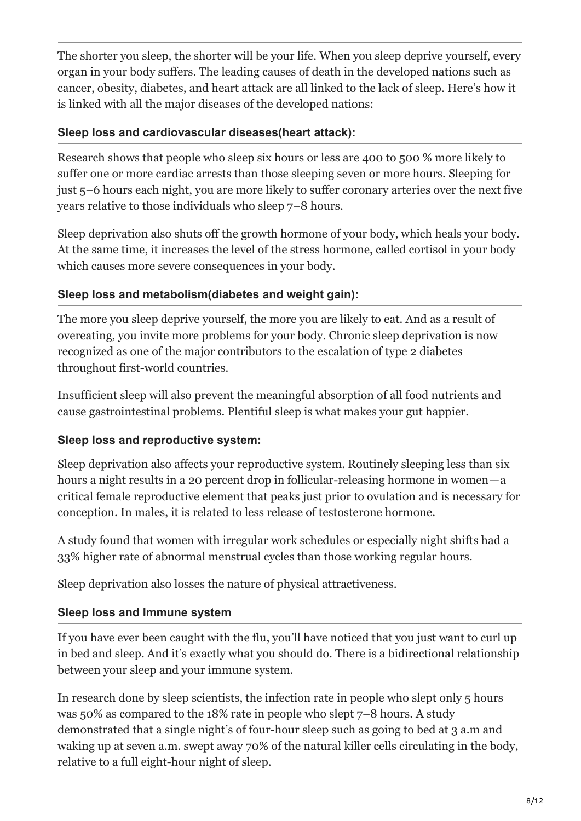The shorter you sleep, the shorter will be your life. When you sleep deprive yourself, every organ in your body suffers. The leading causes of death in the developed nations such as cancer, obesity, diabetes, and heart attack are all linked to the lack of sleep. Here's how it is linked with all the major diseases of the developed nations:

#### **Sleep loss and cardiovascular diseases(heart attack):**

Research shows that people who sleep six hours or less are 400 to 500 % more likely to suffer one or more cardiac arrests than those sleeping seven or more hours. Sleeping for just 5–6 hours each night, you are more likely to suffer coronary arteries over the next five years relative to those individuals who sleep 7–8 hours.

Sleep deprivation also shuts off the growth hormone of your body, which heals your body. At the same time, it increases the level of the stress hormone, called cortisol in your body which causes more severe consequences in your body.

## **Sleep loss and metabolism(diabetes and weight gain):**

The more you sleep deprive yourself, the more you are likely to eat. And as a result of overeating, you invite more problems for your body. Chronic sleep deprivation is now recognized as one of the major contributors to the escalation of type 2 diabetes throughout first-world countries.

Insufficient sleep will also prevent the meaningful absorption of all food nutrients and cause gastrointestinal problems. Plentiful sleep is what makes your gut happier.

## **Sleep loss and reproductive system:**

Sleep deprivation also affects your reproductive system. Routinely sleeping less than six hours a night results in a 20 percent drop in follicular-releasing hormone in women — a critical female reproductive element that peaks just prior to ovulation and is necessary for conception. In males, it is related to less release of testosterone hormone.

A study found that women with irregular work schedules or especially night shifts had a 33% higher rate of abnormal menstrual cycles than those working regular hours.

Sleep deprivation also losses the nature of physical attractiveness.

## **Sleep loss and Immune system**

If you have ever been caught with the flu, you'll have noticed that you just want to curl up in bed and sleep. And it's exactly what you should do. There is a bidirectional relationship between your sleep and your immune system.

In research done by sleep scientists, the infection rate in people who slept only 5 hours was 50% as compared to the 18% rate in people who slept 7–8 hours. A study demonstrated that a single night's of four-hour sleep such as going to bed at 3 a.m and waking up at seven a.m. swept away 70% of the natural killer cells circulating in the body, relative to a full eight-hour night of sleep.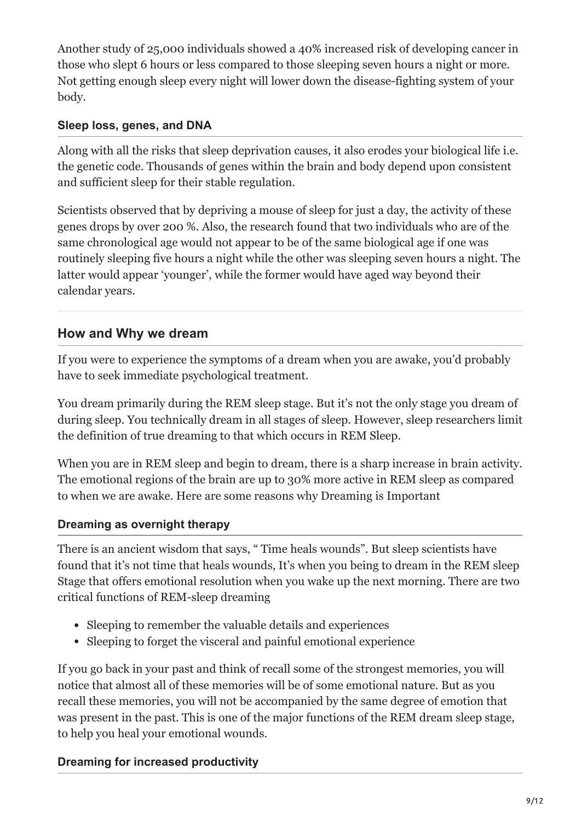Another study of 25,000 individuals showed a 40% increased risk of developing cancer in those who slept 6 hours or less compared to those sleeping seven hours a night or more. Not getting enough sleep every night will lower down the disease-fighting system of your body.

#### **Sleep loss, genes, and DNA**

Along with all the risks that sleep deprivation causes, it also erodes your biological life i.e. the genetic code. Thousands of genes within the brain and body depend upon consistent and sufficient sleep for their stable regulation.

Scientists observed that by depriving a mouse of sleep for just a day, the activity of these genes drops by over 200 %. Also, the research found that two individuals who are of the same chronological age would not appear to be of the same biological age if one was routinely sleeping five hours a night while the other was sleeping seven hours a night. The latter would appear 'younger', while the former would have aged way beyond their calendar years.

# **How and Why we dream**

If you were to experience the symptoms of a dream when you are awake, you'd probably have to seek immediate psychological treatment.

You dream primarily during the REM sleep stage. But it's not the only stage you dream of during sleep. You technically dream in all stages of sleep. However, sleep researchers limit the definition of true dreaming to that which occurs in REM Sleep.

When you are in REM sleep and begin to dream, there is a sharp increase in brain activity. The emotional regions of the brain are up to 30% more active in REM sleep as compared to when we are awake. Here are some reasons why Dreaming is Important

## **Dreaming as overnight therapy**

There is an ancient wisdom that says, " Time heals wounds". But sleep scientists have found that it's not time that heals wounds, It's when you being to dream in the REM sleep Stage that offers emotional resolution when you wake up the next morning. There are two critical functions of REM-sleep dreaming

- Sleeping to remember the valuable details and experiences
- Sleeping to forget the visceral and painful emotional experience

If you go back in your past and think of recall some of the strongest memories, you will notice that almost all of these memories will be of some emotional nature. But as you recall these memories, you will not be accompanied by the same degree of emotion that was present in the past. This is one of the major functions of the REM dream sleep stage, to help you heal your emotional wounds.

# **Dreaming for increased productivity**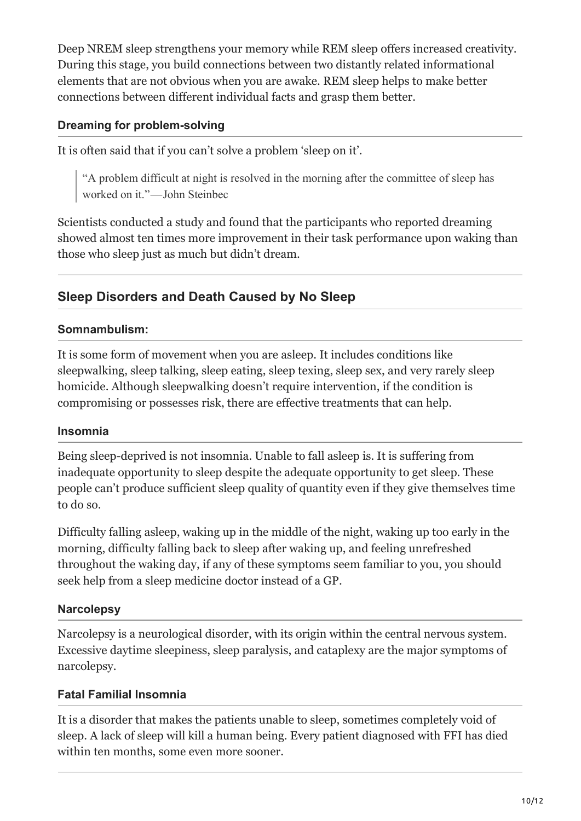Deep NREM sleep strengthens your memory while REM sleep offers increased creativity. During this stage, you build connections between two distantly related informational elements that are not obvious when you are awake. REM sleep helps to make better connections between different individual facts and grasp them better.

#### **Dreaming for problem-solving**

It is often said that if you can't solve a problem 'sleep on it'.

"A problem difficult at night is resolved in the morning after the committee of sleep has worked on it."-John Steinbec

Scientists conducted a study and found that the participants who reported dreaming showed almost ten times more improvement in their task performance upon waking than those who sleep just as much but didn't dream.

# **Sleep Disorders and Death Caused by No Sleep**

#### **Somnambulism:**

It is some form of movement when you are asleep. It includes conditions like sleepwalking, sleep talking, sleep eating, sleep texing, sleep sex, and very rarely sleep homicide. Although sleepwalking doesn't require intervention, if the condition is compromising or possesses risk, there are effective treatments that can help.

#### **Insomnia**

Being sleep-deprived is not insomnia. Unable to fall asleep is. It is suffering from inadequate opportunity to sleep despite the adequate opportunity to get sleep. These people can't produce sufficient sleep quality of quantity even if they give themselves time to do so.

Difficulty falling asleep, waking up in the middle of the night, waking up too early in the morning, difficulty falling back to sleep after waking up, and feeling unrefreshed throughout the waking day, if any of these symptoms seem familiar to you, you should seek help from a sleep medicine doctor instead of a GP.

#### **Narcolepsy**

Narcolepsy is a neurological disorder, with its origin within the central nervous system. Excessive daytime sleepiness, sleep paralysis, and cataplexy are the major symptoms of narcolepsy.

## **Fatal Familial Insomnia**

It is a disorder that makes the patients unable to sleep, sometimes completely void of sleep. A lack of sleep will kill a human being. Every patient diagnosed with FFI has died within ten months, some even more sooner.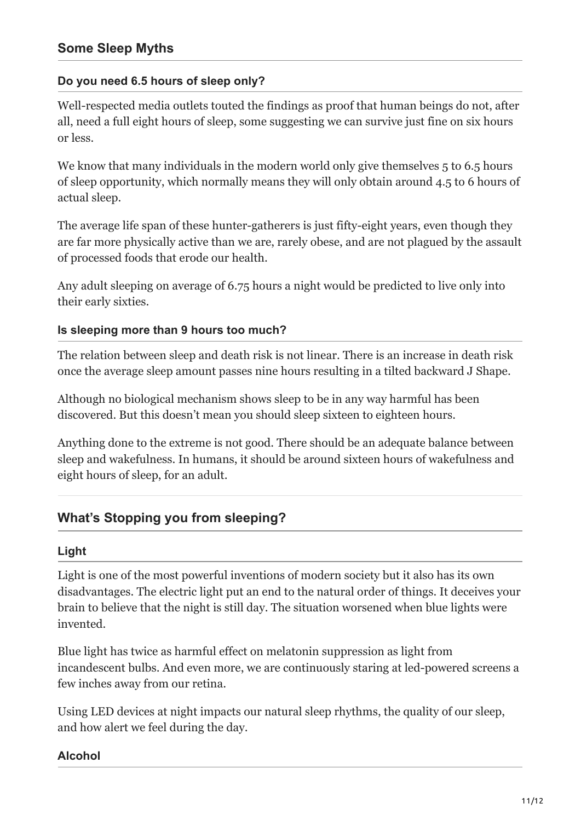#### **Do you need 6.5 hours of sleep only?**

Well-respected media outlets touted the findings as proof that human beings do not, after all, need a full eight hours of sleep, some suggesting we can survive just fine on six hours or less.

We know that many individuals in the modern world only give themselves 5 to 6.5 hours of sleep opportunity, which normally means they will only obtain around 4.5 to 6 hours of actual sleep.

The average life span of these hunter-gatherers is just fifty-eight years, even though they are far more physically active than we are, rarely obese, and are not plagued by the assault of processed foods that erode our health.

Any adult sleeping on average of 6.75 hours a night would be predicted to live only into their early sixties.

#### **Is sleeping more than 9 hours too much?**

The relation between sleep and death risk is not linear. There is an increase in death risk once the average sleep amount passes nine hours resulting in a tilted backward J Shape.

Although no biological mechanism shows sleep to be in any way harmful has been discovered. But this doesn't mean you should sleep sixteen to eighteen hours.

Anything done to the extreme is not good. There should be an adequate balance between sleep and wakefulness. In humans, it should be around sixteen hours of wakefulness and eight hours of sleep, for an adult.

## **What's Stopping you from sleeping?**

#### **Light**

Light is one of the most powerful inventions of modern society but it also has its own disadvantages. The electric light put an end to the natural order of things. It deceives your brain to believe that the night is still day. The situation worsened when blue lights were invented.

Blue light has twice as harmful effect on melatonin suppression as light from incandescent bulbs. And even more, we are continuously staring at led-powered screens a few inches away from our retina.

Using LED devices at night impacts our natural sleep rhythms, the quality of our sleep, and how alert we feel during the day.

#### **Alcohol**